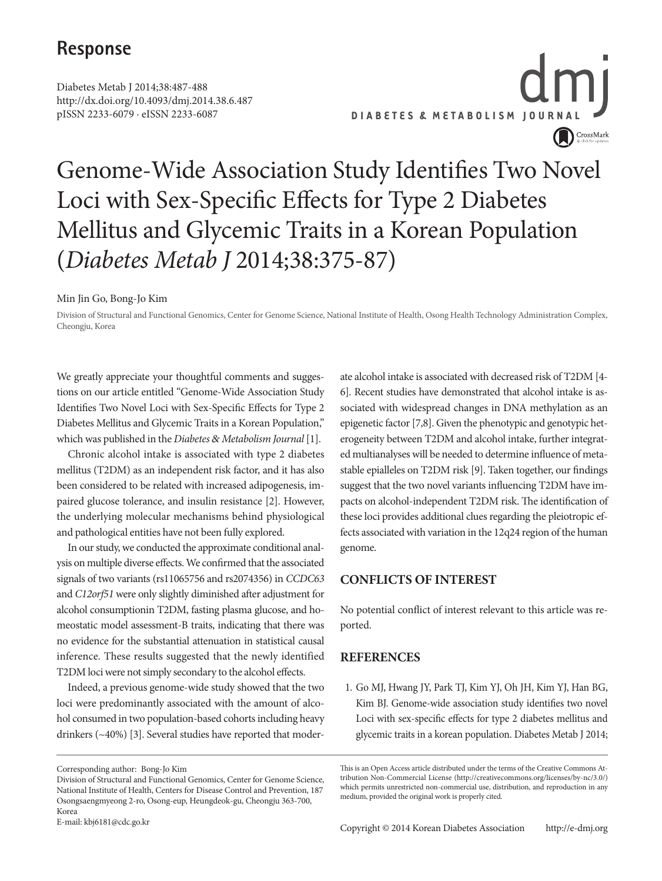### **Response**

Diabetes Metab J 2014;38:487-488 http://dx.doi.org/10.4093/dmj.2014.38.6.487 pISSN 2233-6079 · eISSN 2233-6087

**DIABETES & METABOLISM JOURNAL** CrossMark

## Genome-Wide Association Study Identifies Two Novel Loci with Sex-Specific Effects for Type 2 Diabetes Mellitus and Glycemic Traits in a Korean Population (*Diabetes Metab J* 2014;38:375-87)

Min Jin Go, Bong-Jo Kim

Division of Structural and Functional Genomics, Center for Genome Science, National Institute of Health, Osong Health Technology Administration Complex, Cheongju, Korea

We greatly appreciate your thoughtful comments and suggestions on our article entitled "Genome-Wide Association Study Identifies Two Novel Loci with Sex-Specific Effects for Type 2 Diabetes Mellitus and Glycemic Traits in a Korean Population," which was published in the *Diabetes* & *Metabolism Journal* [1].

Chronic alcohol intake is associated with type 2 diabetes mellitus (T2DM) as an independent risk factor, and it has also been considered to be related with increased adipogenesis, impaired glucose tolerance, and insulin resistance [2]. However, the underlying molecular mechanisms behind physiological and pathological entities have not been fully explored.

In our study, we conducted the approximate conditional analysis on multiple diverse effects. We confirmed that the associated signals of two variants (rs11065756 and rs2074356) in *CCDC63*  and *C12orf51* were only slightly diminished after adjustment for alcohol consumptionin T2DM, fasting plasma glucose, and homeostatic model assessment-B traits, indicating that there was no evidence for the substantial attenuation in statistical causal inference. These results suggested that the newly identified T2DM loci were not simply secondary to the alcohol effects.

Indeed, a previous genome-wide study showed that the two loci were predominantly associated with the amount of alcohol consumed in two population-based cohorts including heavy drinkers (~40%) [3]. Several studies have reported that moder-

E-mail: kbj6181@cdc.go.kr

ate alcohol intake is associated with decreased risk of T2DM [4- 6]. Recent studies have demonstrated that alcohol intake is associated with widespread changes in DNA methylation as an epigenetic factor [7,8]. Given the phenotypic and genotypic heterogeneity between T2DM and alcohol intake, further integrated multianalyses will be needed to determine influence of metastable epialleles on T2DM risk [9]. Taken together, our findings suggest that the two novel variants influencing T2DM have impacts on alcohol-independent T2DM risk. The identification of these loci provides additional clues regarding the pleiotropic effects associated with variation in the 12q24 region of the human genome.

#### **CONFLICTS OF INTEREST**

No potential conflict of interest relevant to this article was reported.

#### **REFERENCES**

1. Go MJ, Hwang JY, Park TJ, Kim YJ, Oh JH, Kim YJ, Han BG, Kim BJ. Genome-wide association study identifies two novel Loci with sex-specific effects for type 2 diabetes mellitus and glycemic traits in a korean population. Diabetes Metab J 2014;

Corresponding author: Bong-Jo Kim

Division of Structural and Functional Genomics, Center for Genome Science, National Institute of Health, Centers for Disease Control and Prevention, 187 Osongsaengmyeong 2-ro, Osong-eup, Heungdeok-gu, Cheongju 363-700, Korea

This is an Open Access article distributed under the terms of the Creative Commons Attribution Non-Commercial License (http://creativecommons.org/licenses/by-nc/3.0/) which permits unrestricted non-commercial use, distribution, and reproduction in any medium, provided the original work is properly cited.